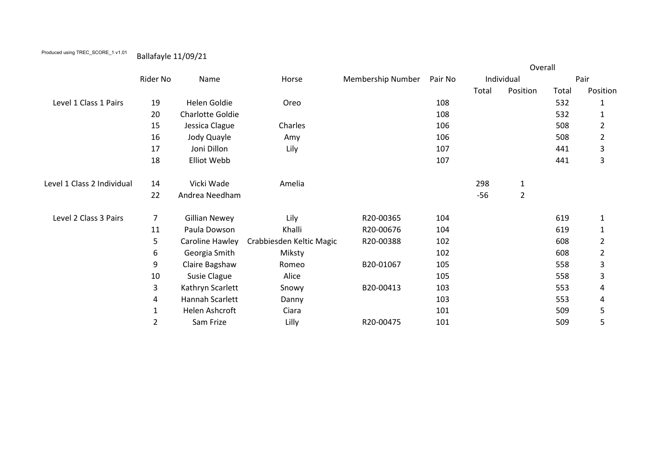## Produced using TREC\_SCORE\_1 v1.01 Ballafayle 11/09/21

|                            |                | Name                 | Horse                    | <b>Membership Number</b> | Pair No | Overall    |                |       |                |
|----------------------------|----------------|----------------------|--------------------------|--------------------------|---------|------------|----------------|-------|----------------|
|                            | Rider No       |                      |                          |                          |         | Individual |                | Pair  |                |
|                            |                |                      |                          |                          |         | Total      | Position       | Total | Position       |
| Level 1 Class 1 Pairs      | 19             | Helen Goldie         | Oreo                     |                          | 108     |            |                | 532   | $\mathbf{1}$   |
|                            | 20             | Charlotte Goldie     |                          |                          | 108     |            |                | 532   | 1              |
|                            | 15             | Jessica Clague       | Charles                  |                          | 106     |            |                | 508   | $\overline{2}$ |
|                            | 16             | Jody Quayle          | Amy                      |                          | 106     |            |                | 508   | $\overline{2}$ |
|                            | 17             | Joni Dillon          | Lily                     |                          | 107     |            |                | 441   | 3              |
|                            | 18             | Elliot Webb          |                          |                          | 107     |            |                | 441   | 3              |
| Level 1 Class 2 Individual | 14             | Vicki Wade           | Amelia                   |                          |         | 298        | $\mathbf{1}$   |       |                |
|                            | 22             | Andrea Needham       |                          |                          |         | $-56$      | $\overline{2}$ |       |                |
| Level 2 Class 3 Pairs      | $\overline{7}$ | <b>Gillian Newey</b> | Lily                     | R20-00365                | 104     |            |                | 619   | $\mathbf{1}$   |
|                            | 11             | Paula Dowson         | Khalli                   | R20-00676                | 104     |            |                | 619   | 1              |
|                            | 5              | Caroline Hawley      | Crabbiesden Keltic Magic | R20-00388                | 102     |            |                | 608   | $\overline{2}$ |
|                            | 6              | Georgia Smith        | Miksty                   |                          | 102     |            |                | 608   | $\overline{2}$ |
|                            | 9              | Claire Bagshaw       | Romeo                    | B20-01067                | 105     |            |                | 558   | 3              |
|                            | 10             | Susie Clague         | Alice                    |                          | 105     |            |                | 558   | 3              |
|                            | 3              | Kathryn Scarlett     | Snowy                    | B20-00413                | 103     |            |                | 553   | 4              |
|                            | 4              | Hannah Scarlett      | Danny                    |                          | 103     |            |                | 553   | 4              |
|                            | $\mathbf 1$    | Helen Ashcroft       | Ciara                    |                          | 101     |            |                | 509   | 5              |
|                            | $\overline{2}$ | Sam Frize            | Lilly                    | R20-00475                | 101     |            |                | 509   | 5              |